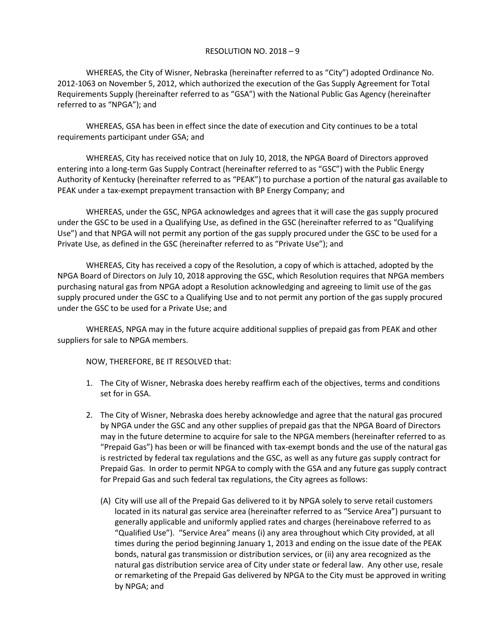## RESOLUTION NO. 2018 – 9

WHEREAS, the City of Wisner, Nebraska (hereinafter referred to as "City") adopted Ordinance No. 2012-1063 on November 5, 2012, which authorized the execution of the Gas Supply Agreement for Total Requirements Supply (hereinafter referred to as "GSA") with the National Public Gas Agency (hereinafter referred to as "NPGA"); and

WHEREAS, GSA has been in effect since the date of execution and City continues to be a total requirements participant under GSA; and

WHEREAS, City has received notice that on July 10, 2018, the NPGA Board of Directors approved entering into a long-term Gas Supply Contract (hereinafter referred to as "GSC") with the Public Energy Authority of Kentucky (hereinafter referred to as "PEAK") to purchase a portion of the natural gas available to PEAK under a tax-exempt prepayment transaction with BP Energy Company; and

WHEREAS, under the GSC, NPGA acknowledges and agrees that it will case the gas supply procured under the GSC to be used in a Qualifying Use, as defined in the GSC (hereinafter referred to as "Qualifying Use") and that NPGA will not permit any portion of the gas supply procured under the GSC to be used for a Private Use, as defined in the GSC (hereinafter referred to as "Private Use"); and

WHEREAS, City has received a copy of the Resolution, a copy of which is attached, adopted by the NPGA Board of Directors on July 10, 2018 approving the GSC, which Resolution requires that NPGA members purchasing natural gas from NPGA adopt a Resolution acknowledging and agreeing to limit use of the gas supply procured under the GSC to a Qualifying Use and to not permit any portion of the gas supply procured under the GSC to be used for a Private Use; and

WHEREAS, NPGA may in the future acquire additional supplies of prepaid gas from PEAK and other suppliers for sale to NPGA members.

NOW, THEREFORE, BE IT RESOLVED that:

- 1. The City of Wisner, Nebraska does hereby reaffirm each of the objectives, terms and conditions set for in GSA.
- 2. The City of Wisner, Nebraska does hereby acknowledge and agree that the natural gas procured by NPGA under the GSC and any other supplies of prepaid gas that the NPGA Board of Directors may in the future determine to acquire for sale to the NPGA members (hereinafter referred to as "Prepaid Gas") has been or will be financed with tax-exempt bonds and the use of the natural gas is restricted by federal tax regulations and the GSC, as well as any future gas supply contract for Prepaid Gas. In order to permit NPGA to comply with the GSA and any future gas supply contract for Prepaid Gas and such federal tax regulations, the City agrees as follows:
	- (A) City will use all of the Prepaid Gas delivered to it by NPGA solely to serve retail customers located in its natural gas service area (hereinafter referred to as "Service Area") pursuant to generally applicable and uniformly applied rates and charges (hereinabove referred to as "Qualified Use"). "Service Area" means (i) any area throughout which City provided, at all times during the period beginning January 1, 2013 and ending on the issue date of the PEAK bonds, natural gas transmission or distribution services, or (ii) any area recognized as the natural gas distribution service area of City under state or federal law. Any other use, resale or remarketing of the Prepaid Gas delivered by NPGA to the City must be approved in writing by NPGA; and